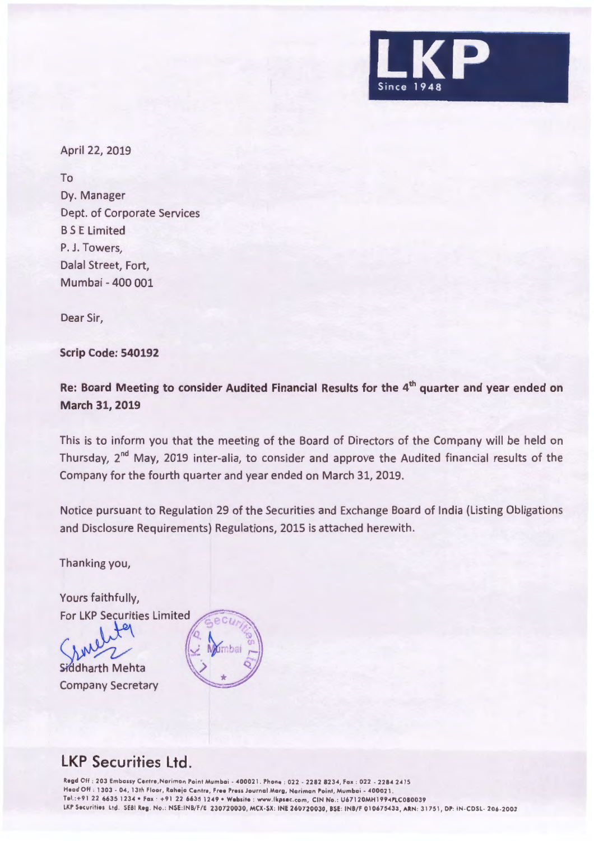

April 22, 2019

To Dy. Manager Dept. of Corporate Services BS E Limited P. J. Towers, Dalal Street, Fort, Mumbai - 400 001

Dear Sir,

**Scrip Code: 540192** 

**Re: Board Meeting to consider Audited Financial Results for the 4th quarter and year ended on March 31, 2019** 

This is to inform you that the meeting of the Board of Directors of the Company will be held on Thursday, 2<sup>nd</sup> May, 2019 inter-alia, to consider and approve the Audited financial results of the Company for the fourth quarter and year ended on March 31, 2019.

Notice pursuant to Regulation 29 of the Securities and Exchange Board of India (Listing Obligations and Disclosure Requirements) Regulations, 2015 is attached herewith.

Thanking you,

Yours faithfully, **For LKP Securities Limited** 

Siddharth Mehta Company Secretary



## **LKP Securities Ltd.**

Regd Off : 203 Embassy Centre,Norimon Point Mumbai - 400021 . Phone : 022 - 2282 8234 , Fox : 022 - 2284 2415 Head Off : 1303 - 04 , 13th Floor, Rohejo Centre, **Free** Press Journal Marg, Noriman Paint, Mumbai . 400021 . Tel. :+91 22 6635 1234 •Fax · +91 22 66351249 **•Website :** www.lkpsoc .com, CIN Na .: U67120MH1994PLC080039 LKP Securilie\$ Ltd . Sf81 **Reg .** No .: NSE :INB/F/E 230720030, MCX-SX: INE 260720030, **BSE :** INB/F 010675433 , **ARN :** 31751, DP: IN -CDSL- 206 -2003